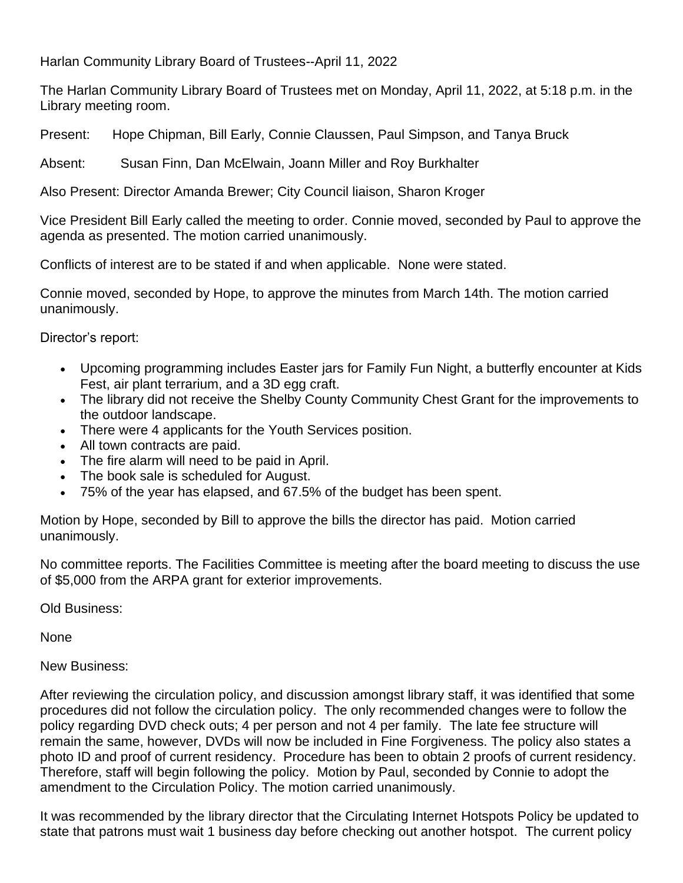Harlan Community Library Board of Trustees--April 11, 2022

The Harlan Community Library Board of Trustees met on Monday, April 11, 2022, at 5:18 p.m. in the Library meeting room.

Present: Hope Chipman, Bill Early, Connie Claussen, Paul Simpson, and Tanya Bruck

Absent: Susan Finn, Dan McElwain, Joann Miller and Roy Burkhalter

Also Present: Director Amanda Brewer; City Council liaison, Sharon Kroger

Vice President Bill Early called the meeting to order. Connie moved, seconded by Paul to approve the agenda as presented. The motion carried unanimously.

Conflicts of interest are to be stated if and when applicable. None were stated.

Connie moved, seconded by Hope, to approve the minutes from March 14th. The motion carried unanimously.

Director's report:

- Upcoming programming includes Easter jars for Family Fun Night, a butterfly encounter at Kids Fest, air plant terrarium, and a 3D egg craft.
- The library did not receive the Shelby County Community Chest Grant for the improvements to the outdoor landscape.
- There were 4 applicants for the Youth Services position.
- All town contracts are paid.
- The fire alarm will need to be paid in April.
- The book sale is scheduled for August.
- 75% of the year has elapsed, and 67.5% of the budget has been spent.

Motion by Hope, seconded by Bill to approve the bills the director has paid. Motion carried unanimously.

No committee reports. The Facilities Committee is meeting after the board meeting to discuss the use of \$5,000 from the ARPA grant for exterior improvements.

Old Business:

None

New Business:

After reviewing the circulation policy, and discussion amongst library staff, it was identified that some procedures did not follow the circulation policy. The only recommended changes were to follow the policy regarding DVD check outs; 4 per person and not 4 per family. The late fee structure will remain the same, however, DVDs will now be included in Fine Forgiveness. The policy also states a photo ID and proof of current residency. Procedure has been to obtain 2 proofs of current residency. Therefore, staff will begin following the policy. Motion by Paul, seconded by Connie to adopt the amendment to the Circulation Policy. The motion carried unanimously.

It was recommended by the library director that the Circulating Internet Hotspots Policy be updated to state that patrons must wait 1 business day before checking out another hotspot. The current policy